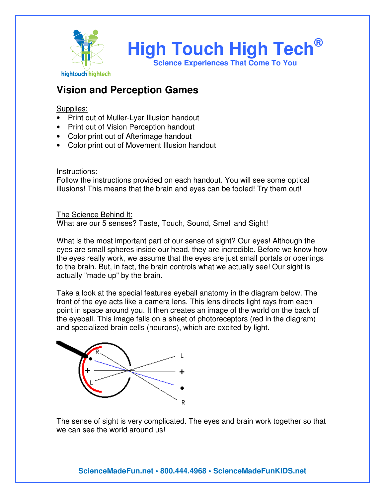

# **Vision and Perception Games**

Supplies:

- Print out of Muller-Lyer Illusion handout
- Print out of Vision Perception handout
- Color print out of Afterimage handout
- Color print out of Movement Illusion handout

Instructions:

Follow the instructions provided on each handout. You will see some optical illusions! This means that the brain and eyes can be fooled! Try them out!

The Science Behind It: What are our 5 senses? Taste, Touch, Sound, Smell and Sight!

What is the most important part of our sense of sight? Our eyes! Although the eyes are small spheres inside our head, they are incredible. Before we know how the eyes really work, we assume that the eyes are just small portals or openings to the brain. But, in fact, the brain controls what we actually see! Our sight is actually "made up" by the brain.

Take a look at the special features eyeball anatomy in the diagram below. The front of the eye acts like a camera lens. This lens directs light rays from each point in space around you. It then creates an image of the world on the back of the eyeball. This image falls on a sheet of photoreceptors (red in the diagram) and specialized brain cells (neurons), which are excited by light.



The sense of sight is very complicated. The eyes and brain work together so that we can see the world around us!

**ScienceMadeFun.net • 800.444.4968 • ScienceMadeFunKIDS.net**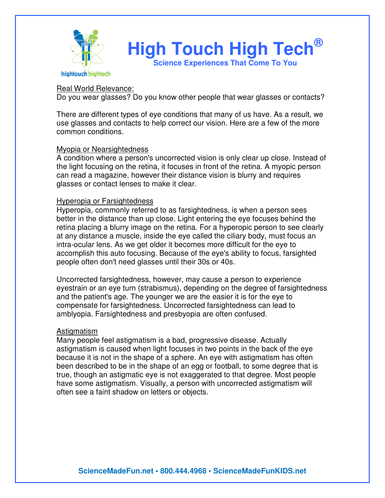

**High Touch High Tech® Science Experiences That Come To You** 

#### Real World Relevance:

Do you wear glasses? Do you know other people that wear glasses or contacts?

There are different types of eye conditions that many of us have. As a result, we use glasses and contacts to help correct our vision. Here are a few of the more common conditions.

#### Myopia or Nearsightedness

A condition where a person's uncorrected vision is only clear up close. Instead of the light focusing on the retina, it focuses in front of the retina. A myopic person can read a magazine, however their distance vision is blurry and requires glasses or contact lenses to make it clear.

#### Hyperopia or Farsightedness

Hyperopia, commonly referred to as farsightedness, is when a person sees better in the distance than up close. Light entering the eye focuses behind the retina placing a blurry image on the retina. For a hyperopic person to see clearly at any distance a muscle, inside the eye called the ciliary body, must focus an intra-ocular lens. As we get older it becomes more difficult for the eye to accomplish this auto focusing. Because of the eye's ability to focus, farsighted people often don't need glasses until their 30s or 40s.

Uncorrected farsightedness, however, may cause a person to experience eyestrain or an eye turn (strabismus), depending on the degree of farsightedness and the patient's age. The younger we are the easier it is for the eye to compensate for farsightedness. Uncorrected farsightedness can lead to amblyopia. Farsightedness and presbyopia are often confused.

## **Astigmatism**

Many people feel astigmatism is a bad, progressive disease. Actually astigmatism is caused when light focuses in two points in the back of the eye because it is not in the shape of a sphere. An eye with astigmatism has often been described to be in the shape of an egg or football, to some degree that is true, though an astigmatic eye is not exaggerated to that degree. Most people have some astigmatism. Visually, a person with uncorrected astigmatism will often see a faint shadow on letters or objects.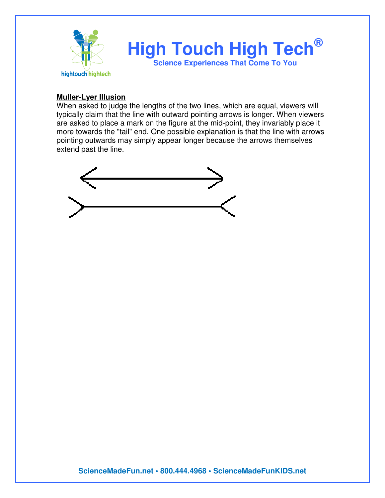

### **Muller-Lyer Illusion**

When asked to judge the lengths of the two lines, which are equal, viewers will typically claim that the line with outward pointing arrows is longer. When viewers are asked to place a mark on the figure at the mid-point, they invariably place it more towards the "tail" end. One possible explanation is that the line with arrows pointing outwards may simply appear longer because the arrows themselves extend past the line.

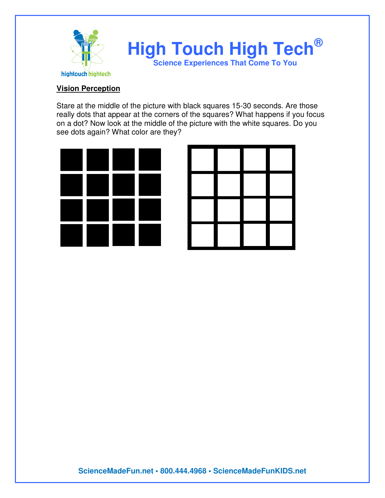

## **Vision Perception**

Stare at the middle of the picture with black squares 15-30 seconds. Are those really dots that appear at the corners of the squares? What happens if you focus on a dot? Now look at the middle of the picture with the white squares. Do you see dots again? What color are they?



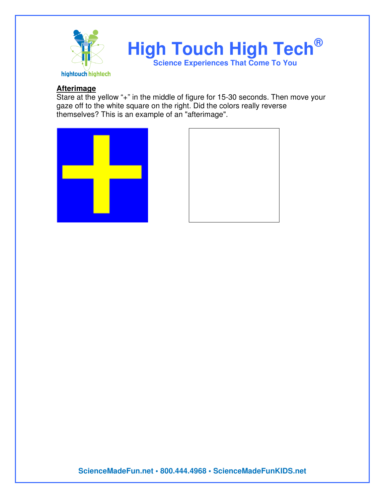

## **Afterimage**

Stare at the yellow "+" in the middle of figure for 15-30 seconds. Then move your gaze off to the white square on the right. Did the colors really reverse themselves? This is an example of an "afterimage".





**ScienceMadeFun.net • 800.444.4968 • ScienceMadeFunKIDS.net**